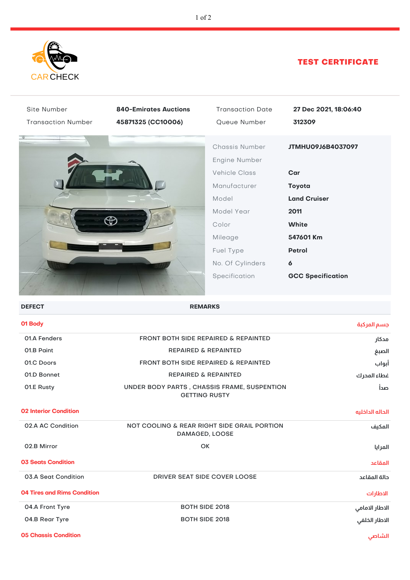

## TEST CERTIFICATE

| Site Number                        | <b>840-Emirates Auctions</b>                                        | <b>Transaction Date</b> | 27 Dec 2021, 18:06:40    |
|------------------------------------|---------------------------------------------------------------------|-------------------------|--------------------------|
| <b>Transaction Number</b>          | 45871325 (CC10006)                                                  | Queue Number            | 312309                   |
|                                    |                                                                     | Chassis Number          | JTMHU09J6B4037097        |
|                                    |                                                                     | Engine Number           |                          |
|                                    |                                                                     | <b>Vehicle Class</b>    | Car                      |
|                                    |                                                                     | Manufacturer            | Toyota                   |
|                                    |                                                                     | Model                   | <b>Land Cruiser</b>      |
|                                    |                                                                     | Model Year              | 2011                     |
|                                    | Ð                                                                   | Color                   | <b>White</b>             |
|                                    |                                                                     | Mileage                 | 547601 Km                |
|                                    |                                                                     | Fuel Type               | Petrol                   |
|                                    |                                                                     | No. Of Cylinders        | $\boldsymbol{6}$         |
|                                    |                                                                     | Specification           | <b>GCC Specification</b> |
|                                    |                                                                     |                         |                          |
| <b>DEFECT</b>                      | <b>REMARKS</b>                                                      |                         |                          |
| 01 Body                            |                                                                     |                         | جسم المركبة              |
| 01.A Fenders                       | FRONT BOTH SIDE REPAIRED & REPAINTED                                |                         | مدكار                    |
| 01.B Paint                         | <b>REPAIRED &amp; REPAINTED</b>                                     |                         | الصبغ                    |
| 01.C Doors                         | FRONT BOTH SIDE REPAIRED & REPAINTED<br>أبواب                       |                         |                          |
| 01.D Bonnet                        | <b>REPAIRED &amp; REPAINTED</b><br>غطاء المحرك                      |                         |                          |
| 01.E Rusty                         | UNDER BODY PARTS, CHASSIS FRAME, SUSPENTION<br><b>GETTING RUSTY</b> |                         | صدأ                      |
| <b>02 Interior Condition</b>       |                                                                     |                         | الحاله الداخليه          |
| 02.A AC Condition                  | NOT COOLING & REAR RIGHT SIDE GRAIL PORTION<br>DAMAGED, LOOSE       |                         | المكيف                   |
| 02.B Mirror                        | OK                                                                  |                         | المرايا                  |
| <b>03 Seats Condition</b>          |                                                                     |                         | المقاعد                  |
| 03.A Seat Condition                | DRIVER SEAT SIDE COVER LOOSE                                        |                         | حالة المقاعد             |
| <b>04 Tires and Rims Condition</b> |                                                                     |                         | الاطارات                 |
| 04.A Front Tyre                    | <b>BOTH SIDE 2018</b>                                               |                         | الاطار الامامي           |
| 04.B Rear Tyre                     | الاطار الخلفي<br><b>BOTH SIDE 2018</b>                              |                         |                          |
|                                    |                                                                     |                         |                          |

**05 Chassis Condition الشاصي**